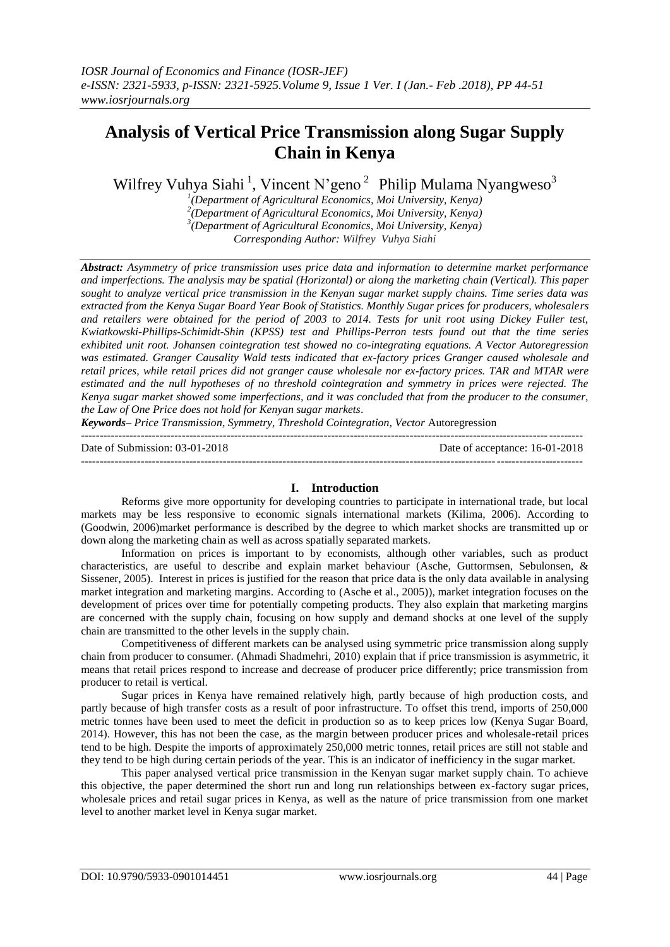# **Analysis of Vertical Price Transmission along Sugar Supply Chain in Kenya**

Wilfrey Vuhya Siahi<sup>1</sup>, Vincent N'geno<sup>2</sup> Philip Mulama Nyangweso<sup>3</sup>

 *(Department of Agricultural Economics, Moi University, Kenya) (Department of Agricultural Economics, Moi University, Kenya) (Department of Agricultural Economics, Moi University, Kenya) Corresponding Author: Wilfrey Vuhya Siahi*

*Abstract: Asymmetry of price transmission uses price data and information to determine market performance and imperfections. The analysis may be spatial (Horizontal) or along the marketing chain (Vertical). This paper sought to analyze vertical price transmission in the Kenyan sugar market supply chains. Time series data was extracted from the Kenya Sugar Board Year Book of Statistics. Monthly Sugar prices for producers, wholesalers and retailers were obtained for the period of 2003 to 2014. Tests for unit root using Dickey Fuller test, Kwiatkowski-Phillips-Schimidt-Shin (KPSS) test and Phillips-Perron tests found out that the time series exhibited unit root. Johansen cointegration test showed no co-integrating equations. A Vector Autoregression was estimated. Granger Causality Wald tests indicated that ex-factory prices Granger caused wholesale and retail prices, while retail prices did not granger cause wholesale nor ex-factory prices. TAR and MTAR were estimated and the null hypotheses of no threshold cointegration and symmetry in prices were rejected. The Kenya sugar market showed some imperfections, and it was concluded that from the producer to the consumer, the Law of One Price does not hold for Kenyan sugar markets*.

*Keywords– Price Transmission, Symmetry, Threshold Cointegration, Vector* Autoregression --------------------------------------------------------------------------------------------------------------------------------------

Date of Submission: 03-01-2018 Date of acceptance: 16-01-2018 --------------------------------------------------------------------------------------------------------------------------------------

#### **I. Introduction**

Reforms give more opportunity for developing countries to participate in international trade, but local markets may be less responsive to economic signals international markets (Kilima, 2006). According to (Goodwin, 2006)market performance is described by the degree to which market shocks are transmitted up or down along the marketing chain as well as across spatially separated markets.

Information on prices is important to by economists, although other variables, such as product characteristics, are useful to describe and explain market behaviour (Asche, Guttormsen, Sebulonsen, & Sissener, 2005). Interest in prices is justified for the reason that price data is the only data available in analysing market integration and marketing margins. According to (Asche et al., 2005)), market integration focuses on the development of prices over time for potentially competing products. They also explain that marketing margins are concerned with the supply chain, focusing on how supply and demand shocks at one level of the supply chain are transmitted to the other levels in the supply chain.

Competitiveness of different markets can be analysed using symmetric price transmission along supply chain from producer to consumer. (Ahmadi Shadmehri, 2010) explain that if price transmission is asymmetric, it means that retail prices respond to increase and decrease of producer price differently; price transmission from producer to retail is vertical.

Sugar prices in Kenya have remained relatively high, partly because of high production costs, and partly because of high transfer costs as a result of poor infrastructure. To offset this trend, imports of 250,000 metric tonnes have been used to meet the deficit in production so as to keep prices low (Kenya Sugar Board, 2014). However, this has not been the case, as the margin between producer prices and wholesale-retail prices tend to be high. Despite the imports of approximately 250,000 metric tonnes, retail prices are still not stable and they tend to be high during certain periods of the year. This is an indicator of inefficiency in the sugar market.

This paper analysed vertical price transmission in the Kenyan sugar market supply chain. To achieve this objective, the paper determined the short run and long run relationships between ex-factory sugar prices, wholesale prices and retail sugar prices in Kenya, as well as the nature of price transmission from one market level to another market level in Kenya sugar market.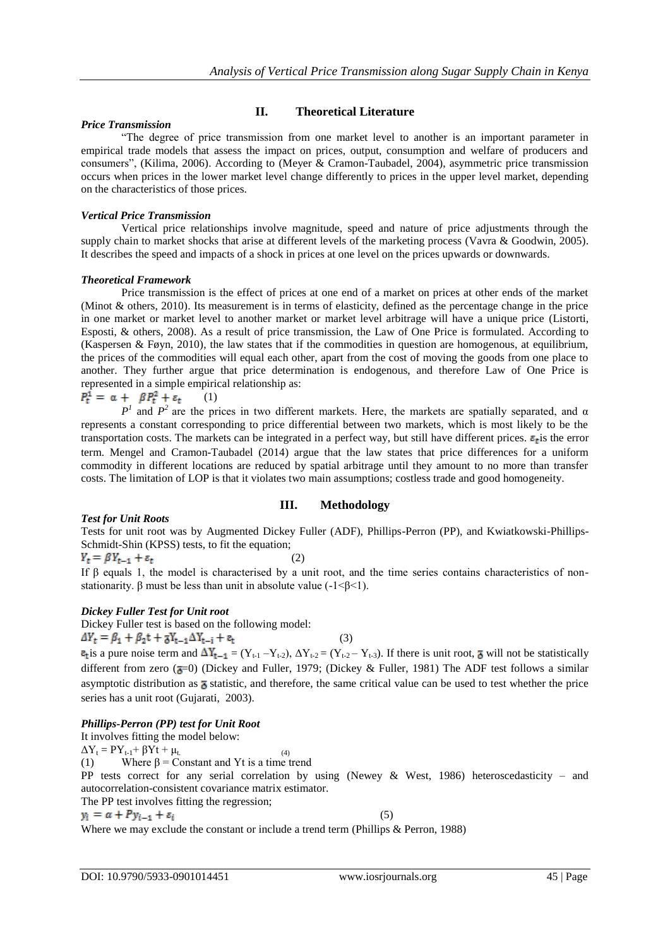# **II. Theoretical Literature**

#### *Price Transmission*

"The degree of price transmission from one market level to another is an important parameter in empirical trade models that assess the impact on prices, output, consumption and welfare of producers and consumers", (Kilima, 2006). According to (Meyer & Cramon-Taubadel, 2004), asymmetric price transmission occurs when prices in the lower market level change differently to prices in the upper level market, depending on the characteristics of those prices.

### *Vertical Price Transmission*

Vertical price relationships involve magnitude, speed and nature of price adjustments through the supply chain to market shocks that arise at different levels of the marketing process (Vavra & Goodwin, 2005). It describes the speed and impacts of a shock in prices at one level on the prices upwards or downwards.

#### *Theoretical Framework*

Price transmission is the effect of prices at one end of a market on prices at other ends of the market (Minot & others, 2010). Its measurement is in terms of elasticity, defined as the percentage change in the price in one market or market level to another market or market level arbitrage will have a unique price (Listorti, Esposti, & others, 2008). As a result of price transmission, the Law of One Price is formulated. According to (Kaspersen & Føyn, 2010), the law states that if the commodities in question are homogenous, at equilibrium, the prices of the commodities will equal each other, apart from the cost of moving the goods from one place to another. They further argue that price determination is endogenous, and therefore Law of One Price is represented in a simple empirical relationship as:

$$
P_t^1 = \alpha + \beta P_t^2 + \varepsilon_t \qquad (1)
$$

 $P<sup>1</sup>$  and  $P<sup>2</sup>$  are the prices in two different markets. Here, the markets are spatially separated, and α represents a constant corresponding to price differential between two markets, which is most likely to be the transportation costs. The markets can be integrated in a perfect way, but still have different prices.  $\epsilon_t$  is the error term. Mengel and Cramon-Taubadel (2014) argue that the law states that price differences for a uniform commodity in different locations are reduced by spatial arbitrage until they amount to no more than transfer costs. The limitation of LOP is that it violates two main assumptions; costless trade and good homogeneity.

# **III. Methodology**

#### *Test for Unit Roots*

Tests for unit root was by Augmented Dickey Fuller (ADF), Phillips-Perron (PP), and Kwiatkowski-Phillips-Schmidt-Shin (KPSS) tests, to fit the equation;

$$
(2) \quad (2)
$$

If β equals 1, the model is characterised by a unit root, and the time series contains characteristics of nonstationarity. β must be less than unit in absolute value  $(-1 < \beta < 1)$ .

# *Dickey Fuller Test for Unit root*

Dickey Fuller test is based on the following model:  $\Delta Y_t = \beta_1 + \beta_2 t + \overline{\delta} Y_{t-1} \Delta Y_{t-i} + \epsilon_t$  (3)

 $\epsilon_t$  is a pure noise term and  $\Delta Y_{t-1} = (Y_{t-1} - Y_{t-2}), \Delta Y_{t-2} = (Y_{t-2} - Y_{t-3}).$  If there is unit root,  $\bar{\sigma}$  will not be statistically different from zero ( $\overline{a}=0$ ) (Dickey and Fuller, 1979; (Dickey & Fuller, 1981) The ADF test follows a similar asymptotic distribution as  $\overline{\mathfrak{g}}$  statistic, and therefore, the same critical value can be used to test whether the price series has a unit root (Gujarati, 2003).

#### *Phillips-Perron (PP) test for Unit Root*

It involves fitting the model below:  $\Delta Y_t = PY_{t-1} + \beta Yt + \mu_t$ . (4) (1) Where  $\beta$  = Constant and Yt is a time trend PP tests correct for any serial correlation by using (Newey & West, 1986) heteroscedasticity – and autocorrelation-consistent covariance matrix estimator. The PP test involves fitting the regression; (5) Where we may exclude the constant or include a trend term (Phillips & Perron, 1988)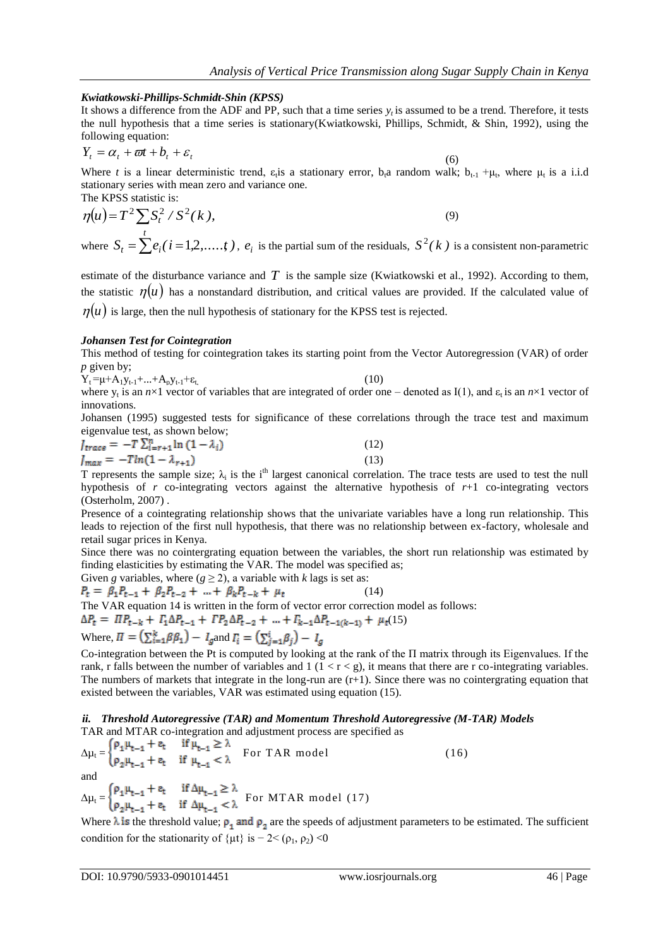#### *Kwiatkowski-Phillips-Schmidt-Shin (KPSS)*

It shows a difference from the ADF and PP, such that a time series  $y<sub>i</sub>$  is assumed to be a trend. Therefore, it tests the null hypothesis that a time series is stationary(Kwiatkowski, Phillips, Schmidt, & Shin, 1992), using the following equation:

$$
Y_t = \alpha_t + \varpi t + b_t + \varepsilon_t \tag{6}
$$

Where *t* is a linear deterministic trend,  $\varepsilon_t$  is a stationary error,  $b_t$  random walk;  $b_{t-1} + \mu_t$ , where  $\mu_t$  is a i.i.d stationary series with mean zero and variance one. The KPSS statistic is:

$$
\eta(u) = T^2 \sum S_t^2 / S^2(k),
$$
  
\nwhere  $S_t = \sum e_i (i = 1, 2, ..., t)$ ,  $e_i$  is the partial sum of the residuals,  $S^2(k)$  is a consistent non-parametric

estimate of the disturbance variance and  $T$  is the sample size (Kwiatkowski et al., 1992). According to them, the statistic  $\eta(u)$  has a nonstandard distribution, and critical values are provided. If the calculated value of  $\eta(u)$  is large, then the null hypothesis of stationary for the KPSS test is rejected.

#### *Johansen Test for Cointegration*

This method of testing for cointegration takes its starting point from the Vector Autoregression (VAR) of order *p* given by;

 $Y_t = \mu + A_1 y_{t-1} + ... + A_p y_{t-1} + \varepsilon_t$  (10)

where  $y_t$  is an  $n \times 1$  vector of variables that are integrated of order one – denoted as I(1), and  $\varepsilon_t$  is an  $n \times 1$  vector of innovations.

Johansen (1995) suggested tests for significance of these correlations through the trace test and maximum eigenvalue test, as shown below;

$$
J_{trace} = -T \sum_{i=r+1}^{n} \ln(1 - \lambda_i)
$$
\n
$$
J_{max} = -T \ln(1 - \lambda_{r+1})
$$
\n(12)

T represents the sample size;  $\lambda_i$  is the i<sup>th</sup> largest canonical correlation. The trace tests are used to test the null hypothesis of *r* co-integrating vectors against the alternative hypothesis of *r*+1 co-integrating vectors (Osterholm, 2007) .

Presence of a cointegrating relationship shows that the univariate variables have a long run relationship. This leads to rejection of the first null hypothesis, that there was no relationship between ex-factory, wholesale and retail sugar prices in Kenya.

Since there was no cointergrating equation between the variables, the short run relationship was estimated by finding elasticities by estimating the VAR. The model was specified as;

Given *g* variables, where 
$$
(g \ge 2)
$$
, a variable with *k* lags is set as:

 $P_t = \beta_1 P_{t-1} + \beta_2 P_{t-2} + \dots + \beta_k P_{t-k} + \mu_t$ (14) The VAR equation 14 is written in the form of vector error correction model as follows:  $\Delta P_t = \Pi P_{t-k} + \Gamma_1 \Delta P_{t-1} + \Gamma P_2 \Delta P_{t-2} + \dots + \Gamma_{k-1} \Delta P_{t-1(k-1)} + \mu_t(15)$ 

Where,  $\Pi = (\sum_{i=1}^{k} \beta \beta_1) - I_g$  and  $I_i = (\sum_{i=1}^{i} \beta_i) - I_g$ 

Co-integration between the Pt is computed by looking at the rank of the Π matrix through its Eigenvalues. If the rank, r falls between the number of variables and  $1 (1 < r < g)$ , it means that there are r co-integrating variables. The numbers of markets that integrate in the long-run are  $(r+1)$ . Since there was no cointergrating equation that existed between the variables, VAR was estimated using equation (15).

#### *ii. Threshold Autoregressive (TAR) and Momentum Threshold Autoregressive (M-TAR) Models* TAR and MTAR co-integration and adjustment process are specified as

 $\Delta \mu_t = \begin{cases} \rho_1 \mu_{t-1} + \varepsilon_t & \text{if } \mu_{t-1} \ge \lambda \\ \rho_2 \mu_{t-1} + \varepsilon_t & \text{if } \mu_{t-1} < \lambda \end{cases}$  For TAR model (16)

and

 $\Delta \mu_t = \frac{1}{2}$   $\frac{1}{2}$  for MTAR model (17)

Where  $\lambda$  is the threshold value;  $\rho_1$  and  $\rho_2$  are the speeds of adjustment parameters to be estimated. The sufficient condition for the stationarity of { $\mu$ t} is − 2< ( $\rho$ <sub>1</sub>,  $\rho$ <sub>2</sub>) <0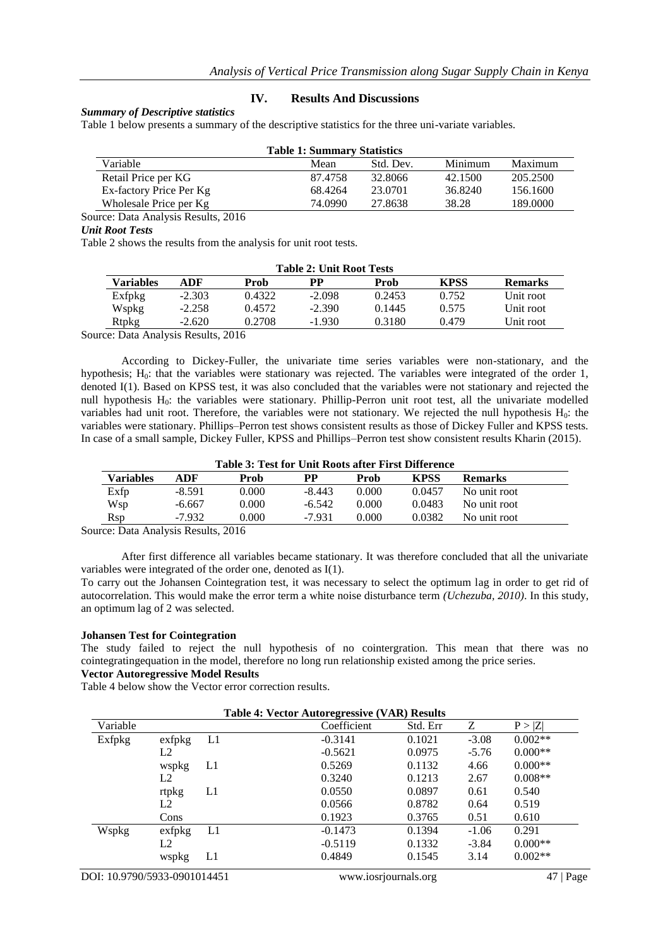#### **IV. Results And Discussions**

#### *Summary of Descriptive statistics*

Table 1 below presents a summary of the descriptive statistics for the three uni-variate variables.

| <b>Table 1: Summary Statistics</b> |           |         |          |  |  |  |  |  |  |
|------------------------------------|-----------|---------|----------|--|--|--|--|--|--|
| Mean                               | Std. Dev. | Minimum | Maximum  |  |  |  |  |  |  |
| 87.4758                            | 32.8066   | 42.1500 | 205.2500 |  |  |  |  |  |  |
| 68.4264                            | 23.0701   | 36.8240 | 156.1600 |  |  |  |  |  |  |
| 74.0990                            | 27.8638   | 38.28   | 189,0000 |  |  |  |  |  |  |
|                                    |           |         |          |  |  |  |  |  |  |

Source: Data Analysis Results, 2016

#### *Unit Root Tests*

Table 2 shows the results from the analysis for unit root tests.

| <b>Table 2: Unit Root Tests</b> |          |        |          |        |             |                |  |  |
|---------------------------------|----------|--------|----------|--------|-------------|----------------|--|--|
| Variables                       | ADF      | Prob   | РP       | Prob   | <b>KPSS</b> | <b>Remarks</b> |  |  |
| Exfpkg                          | $-2.303$ | 0.4322 | $-2.098$ | 0.2453 | 0.752       | Unit root      |  |  |
| Wspkg                           | $-2.258$ | 0.4572 | $-2.390$ | 0.1445 | 0.575       | Unit root      |  |  |
| Rtpkg                           | $-2.620$ | 0.2708 | $-1.930$ | 0.3180 | 0.479       | Unit root      |  |  |

Source: Data Analysis Results, 2016

According to Dickey-Fuller, the univariate time series variables were non-stationary, and the hypothesis;  $H_0$ : that the variables were stationary was rejected. The variables were integrated of the order 1, denoted I(1). Based on KPSS test, it was also concluded that the variables were not stationary and rejected the null hypothesis H<sub>0</sub>: the variables were stationary. Phillip-Perron unit root test, all the univariate modelled variables had unit root. Therefore, the variables were not stationary. We rejected the null hypothesis  $H_0$ : the variables were stationary. Phillips–Perron test shows consistent results as those of Dickey Fuller and KPSS tests. In case of a small sample, Dickey Fuller, KPSS and Phillips–Perron test show consistent results Kharin (2015).

| Table 3: Test for Unit Roots after First Difference |          |       |          |       |             |                |  |  |
|-----------------------------------------------------|----------|-------|----------|-------|-------------|----------------|--|--|
| Variables                                           | ADF      | Prob  | PP       | Prob  | <b>KPSS</b> | <b>Remarks</b> |  |  |
| Exfp                                                | $-8.591$ | 0.000 | $-8.443$ | 0.000 | 0.0457      | No unit root   |  |  |
| Wsp                                                 | $-6.667$ | 0.000 | $-6.542$ | 0.000 | 0.0483      | No unit root   |  |  |
| <b>R</b> sp                                         | $-7.932$ | 0.000 | $-7.931$ | 0.000 | 0.0382      | No unit root   |  |  |

Source: Data Analysis Results, 2016

After first difference all variables became stationary. It was therefore concluded that all the univariate variables were integrated of the order one, denoted as I(1).

To carry out the Johansen Cointegration test, it was necessary to select the optimum lag in order to get rid of autocorrelation. This would make the error term a white noise disturbance term *(Uchezuba, 2010)*. In this study, an optimum lag of 2 was selected.

#### **Johansen Test for Cointegration**

The study failed to reject the null hypothesis of no cointergration. This mean that there was no cointegratingequation in the model, therefore no long run relationship existed among the price series.

#### **Vector Autoregressive Model Results**

Table 4 below show the Vector error correction results.

|          |                | <b>Table 4: Vector Autoregressive (VAR) Results</b> |             |          |         |           |
|----------|----------------|-----------------------------------------------------|-------------|----------|---------|-----------|
| Variable |                |                                                     | Coefficient | Std. Err | Z       | P >  Z    |
| Exfpkg   | exfbkg         | L1                                                  | $-0.3141$   | 0.1021   | $-3.08$ | $0.002**$ |
|          | L <sub>2</sub> |                                                     | $-0.5621$   | 0.0975   | $-5.76$ | $0.000**$ |
|          | wspkg          | L1                                                  | 0.5269      | 0.1132   | 4.66    | $0.000**$ |
|          | L2             |                                                     | 0.3240      | 0.1213   | 2.67    | $0.008**$ |
|          | rtpkg          | L1                                                  | 0.0550      | 0.0897   | 0.61    | 0.540     |
|          | L2             |                                                     | 0.0566      | 0.8782   | 0.64    | 0.519     |
|          | Cons           |                                                     | 0.1923      | 0.3765   | 0.51    | 0.610     |
| Wspkg    | exfbkg         | L1                                                  | $-0.1473$   | 0.1394   | $-1.06$ | 0.291     |
|          | L2             |                                                     | $-0.5119$   | 0.1332   | $-3.84$ | $0.000**$ |
|          | wspkg          | L1                                                  | 0.4849      | 0.1545   | 3.14    | $0.002**$ |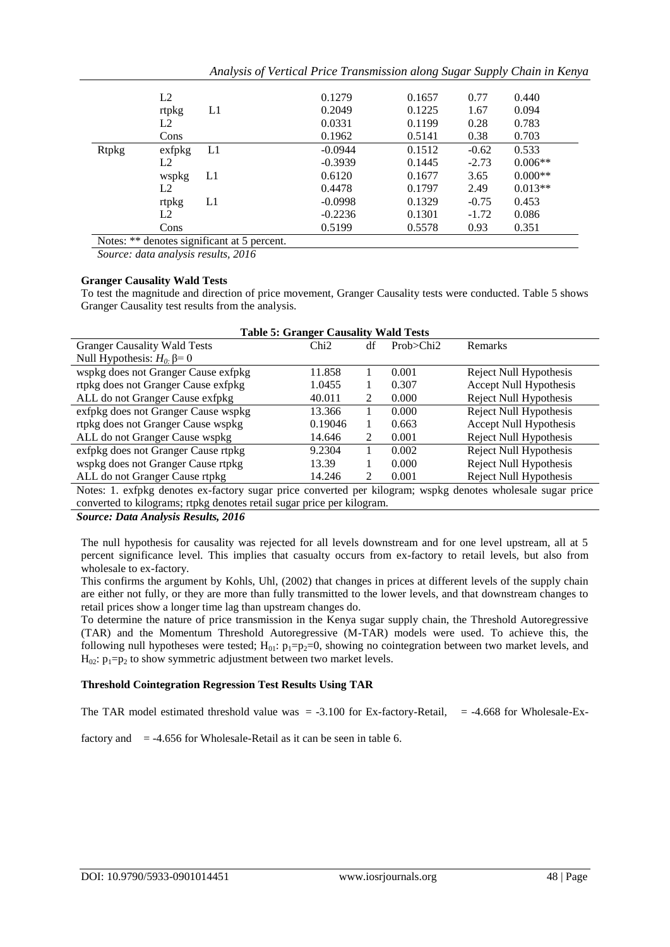|              | L2             |                                             | 0.1279    | 0.1657 | 0.77    | 0.440     |
|--------------|----------------|---------------------------------------------|-----------|--------|---------|-----------|
|              | rtpkg          | L1                                          | 0.2049    | 0.1225 | 1.67    | 0.094     |
|              | L <sub>2</sub> |                                             | 0.0331    | 0.1199 | 0.28    | 0.783     |
|              | Cons           |                                             | 0.1962    | 0.5141 | 0.38    | 0.703     |
| <b>Rtpkg</b> | exfpkg         | L1                                          | $-0.0944$ | 0.1512 | $-0.62$ | 0.533     |
|              | L2             |                                             | $-0.3939$ | 0.1445 | $-2.73$ | $0.006**$ |
|              | wspkg          | L1                                          | 0.6120    | 0.1677 | 3.65    | $0.000**$ |
|              | L <sub>2</sub> |                                             | 0.4478    | 0.1797 | 2.49    | $0.013**$ |
|              | rtpkg          | L1                                          | $-0.0998$ | 0.1329 | $-0.75$ | 0.453     |
|              | L <sub>2</sub> |                                             | $-0.2236$ | 0.1301 | $-1.72$ | 0.086     |
|              | Cons           |                                             | 0.5199    | 0.5578 | 0.93    | 0.351     |
|              |                | Notes: ** denotes significant at 5 percent. |           |        |         |           |

*Analysis of Vertical Price Transmission along Sugar Supply Chain in Kenya*

*Source: data analysis results, 2016*

#### **Granger Causality Wald Tests**

To test the magnitude and direction of price movement, Granger Causality tests were conducted. Table 5 shows Granger Causality test results from the analysis.

| <b>Table 5: Granger Causality Wald Tests</b>                                                                |         |               |             |                        |  |  |  |  |  |
|-------------------------------------------------------------------------------------------------------------|---------|---------------|-------------|------------------------|--|--|--|--|--|
| <b>Granger Causality Wald Tests</b>                                                                         | Chi2    | df            | Prob > Chi2 | Remarks                |  |  |  |  |  |
| Null Hypothesis: $H_0$ . $\beta = 0$                                                                        |         |               |             |                        |  |  |  |  |  |
| wspkg does not Granger Cause exfpkg                                                                         | 11.858  |               | 0.001       | Reject Null Hypothesis |  |  |  |  |  |
| rtpkg does not Granger Cause exfpkg                                                                         | 1.0455  | 1             | 0.307       | Accept Null Hypothesis |  |  |  |  |  |
| ALL do not Granger Cause exfpkg                                                                             | 40.011  | 2             | 0.000       | Reject Null Hypothesis |  |  |  |  |  |
| exfpkg does not Granger Cause wspkg                                                                         | 13.366  |               | 0.000       | Reject Null Hypothesis |  |  |  |  |  |
| rtpkg does not Granger Cause wspkg                                                                          | 0.19046 | 1             | 0.663       | Accept Null Hypothesis |  |  |  |  |  |
| ALL do not Granger Cause wspkg                                                                              | 14.646  | 2             | 0.001       | Reject Null Hypothesis |  |  |  |  |  |
| exfpkg does not Granger Cause rtpkg                                                                         | 9.2304  |               | 0.002       | Reject Null Hypothesis |  |  |  |  |  |
| wspkg does not Granger Cause rtpkg                                                                          | 13.39   |               | 0.000       | Reject Null Hypothesis |  |  |  |  |  |
| ALL do not Granger Cause rtpkg                                                                              | 14.246  | $\mathcal{L}$ | 0.001       | Reject Null Hypothesis |  |  |  |  |  |
| Notes: 1. exfpkg denotes ex-factory sugar price converted per kilogram; wspkg denotes wholesale sugar price |         |               |             |                        |  |  |  |  |  |
| converted to kilograms; rtpkg denotes retail sugar price per kilogram.                                      |         |               |             |                        |  |  |  |  |  |

*Source: Data Analysis Results, 2016*

The null hypothesis for causality was rejected for all levels downstream and for one level upstream, all at 5 percent significance level. This implies that casualty occurs from ex-factory to retail levels, but also from wholesale to ex-factory.

This confirms the argument by Kohls, Uhl, (2002) that changes in prices at different levels of the supply chain are either not fully, or they are more than fully transmitted to the lower levels, and that downstream changes to retail prices show a longer time lag than upstream changes do.

To determine the nature of price transmission in the Kenya sugar supply chain, the Threshold Autoregressive (TAR) and the Momentum Threshold Autoregressive (M-TAR) models were used. To achieve this, the following null hypotheses were tested;  $H_{01}: p_1=p_2=0$ , showing no cointegration between two market levels, and  $H_{02}$ :  $p_1=p_2$  to show symmetric adjustment between two market levels.

# **Threshold Cointegration Regression Test Results Using TAR**

The TAR model estimated threshold value was  $= -3.100$  for Ex-factory-Retail,  $= -4.668$  for Wholesale-Ex-

factory and  $= -4.656$  for Wholesale-Retail as it can be seen in table 6.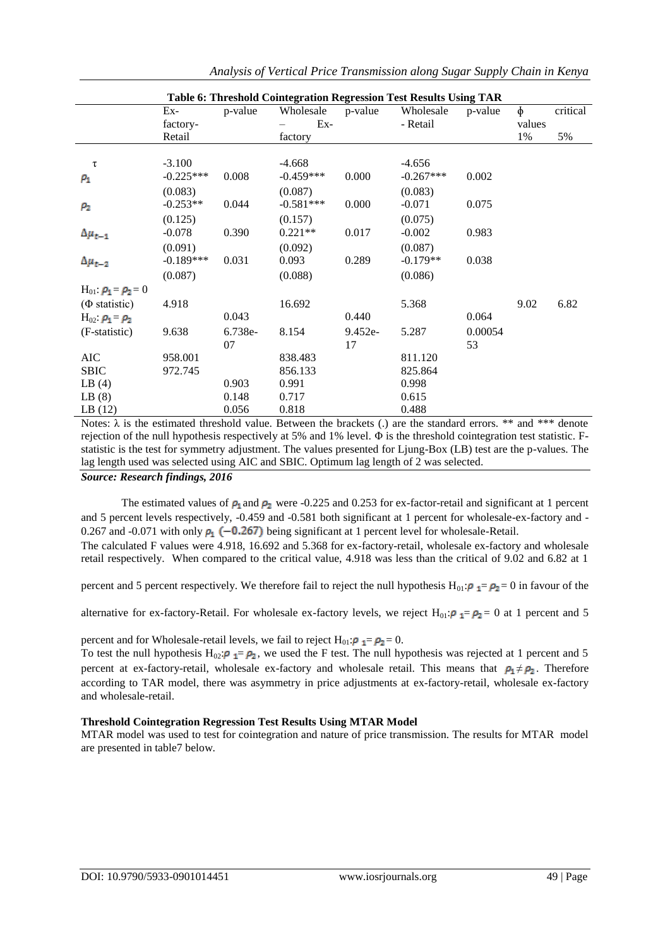|                                |             |         | Table 6: Threshold Cointegration Regression Test Results Using TAR |           |             |         |        |          |
|--------------------------------|-------------|---------|--------------------------------------------------------------------|-----------|-------------|---------|--------|----------|
|                                | $Ex-$       | p-value | Wholesale                                                          | p-value   | Wholesale   | p-value | $\phi$ | critical |
|                                | factory-    |         | $Ex-$                                                              |           | - Retail    |         | values |          |
|                                | Retail      |         | factory                                                            |           |             |         | 1%     | 5%       |
|                                |             |         |                                                                    |           |             |         |        |          |
| τ                              | $-3.100$    |         | $-4.668$                                                           |           | $-4.656$    |         |        |          |
| $\rho_1$                       | $-0.225***$ | 0.008   | $-0.459***$                                                        | 0.000     | $-0.267***$ | 0.002   |        |          |
|                                | (0.083)     |         | (0.087)                                                            |           | (0.083)     |         |        |          |
| $\rho_2$                       | $-0.253**$  | 0.044   | $-0.581***$                                                        | 0.000     | $-0.071$    | 0.075   |        |          |
|                                | (0.125)     |         | (0.157)                                                            |           | (0.075)     |         |        |          |
| $\Delta\mu_{t-1}$              | $-0.078$    | 0.390   | $0.221**$                                                          | 0.017     | $-0.002$    | 0.983   |        |          |
|                                | (0.091)     |         | (0.092)                                                            |           | (0.087)     |         |        |          |
| $\Delta\mu_{t-2}$              | $-0.189***$ | 0.031   | 0.093                                                              | 0.289     | $-0.179**$  | 0.038   |        |          |
|                                | (0.087)     |         | (0.088)                                                            |           | (0.086)     |         |        |          |
| $H_{01}$ $\rho_1 = \rho_2 = 0$ |             |         |                                                                    |           |             |         |        |          |
| $(\Phi \text{ statistic})$     | 4.918       |         | 16.692                                                             |           | 5.368       |         | 9.02   | 6.82     |
| $H_{02}: \rho_1 = \rho_2$      |             | 0.043   |                                                                    | 0.440     |             | 0.064   |        |          |
| (F-statistic)                  | 9.638       | 6.738e- | 8.154                                                              | $9.452e-$ | 5.287       | 0.00054 |        |          |
|                                |             | 07      |                                                                    | 17        |             | 53      |        |          |
| <b>AIC</b>                     | 958.001     |         | 838.483                                                            |           | 811.120     |         |        |          |
| <b>SBIC</b>                    | 972.745     |         | 856.133                                                            |           | 825.864     |         |        |          |
| LB(4)                          |             | 0.903   | 0.991                                                              |           | 0.998       |         |        |          |
| LB(8)                          |             | 0.148   | 0.717                                                              |           | 0.615       |         |        |          |
| LB(12)                         |             | 0.056   | 0.818                                                              |           | 0.488       |         |        |          |

*Analysis of Vertical Price Transmission along Sugar Supply Chain in Kenya*

Notes:  $\lambda$  is the estimated threshold value. Between the brackets (.) are the standard errors. \*\* and \*\*\* denote rejection of the null hypothesis respectively at 5% and 1% level. Φ is the threshold cointegration test statistic. Fstatistic is the test for symmetry adjustment. The values presented for Ljung-Box (LB) test are the p-values. The lag length used was selected using AIC and SBIC. Optimum lag length of 2 was selected.

*Source: Research findings, 2016* 

The estimated values of  $\rho_1$  and  $\rho_2$  were -0.225 and 0.253 for ex-factor-retail and significant at 1 percent and 5 percent levels respectively, -0.459 and -0.581 both significant at 1 percent for wholesale-ex-factory and - 0.267 and -0.071 with only  $\rho_1$  (-0.267) being significant at 1 percent level for wholesale-Retail.

The calculated F values were 4.918, 16.692 and 5.368 for ex-factory-retail, wholesale ex-factory and wholesale retail respectively. When compared to the critical value, 4.918 was less than the critical of 9.02 and 6.82 at 1

percent and 5 percent respectively. We therefore fail to reject the null hypothesis H<sub>01</sub>:  $\rho_1 = \rho_2 = 0$  in favour of the

alternative for ex-factory-Retail. For wholesale ex-factory levels, we reject H<sub>01</sub>:  $\rho_1 = \rho_2 = 0$  at 1 percent and 5

percent and for Wholesale-retail levels, we fail to reject  $H_{01}$ :  $\rho_1 = \rho_2 = 0$ .

To test the null hypothesis H<sub>02</sub>:  $\rho_1 = \rho_2$ , we used the F test. The null hypothesis was rejected at 1 percent and 5 percent at ex-factory-retail, wholesale ex-factory and wholesale retail. This means that  $\rho_1 \neq \rho_2$ . Therefore according to TAR model, there was asymmetry in price adjustments at ex-factory-retail, wholesale ex-factory and wholesale-retail.

#### **Threshold Cointegration Regression Test Results Using MTAR Model**

MTAR model was used to test for cointegration and nature of price transmission. The results for MTAR model are presented in table7 below.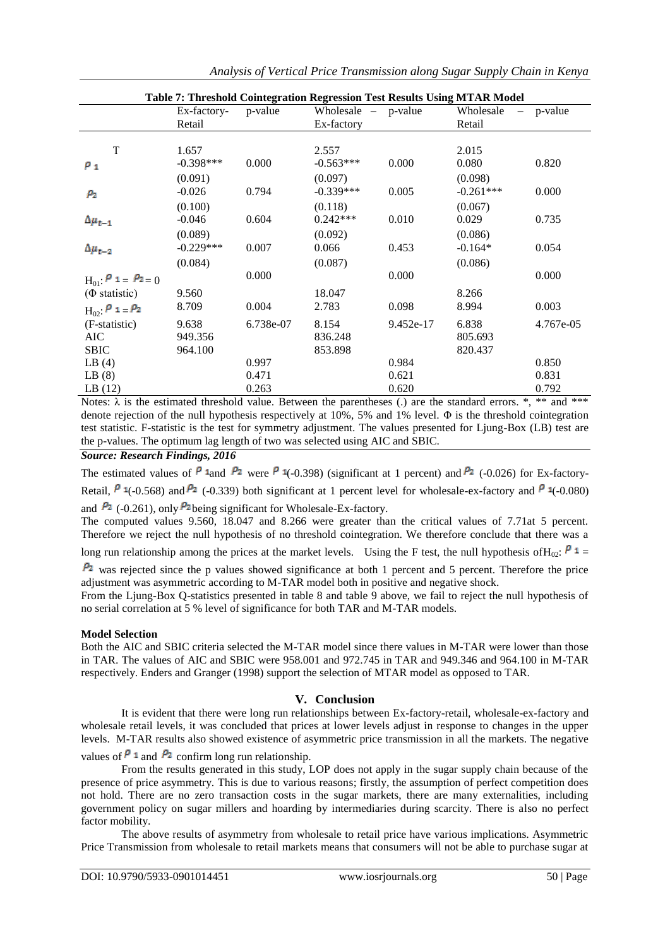| Table 7: Threshold Cointegration Regression Test Results Using MTAR Model |             |           |                       |           |             |             |  |  |
|---------------------------------------------------------------------------|-------------|-----------|-----------------------|-----------|-------------|-------------|--|--|
|                                                                           | Ex-factory- | p-value   | Wholesale $-$ p-value |           | Wholesale   | $-$ p-value |  |  |
|                                                                           | Retail      |           | Ex-factory            |           | Retail      |             |  |  |
|                                                                           |             |           |                       |           |             |             |  |  |
| T                                                                         | 1.657       |           | 2.557                 |           | 2.015       |             |  |  |
| $\rho_1$                                                                  | $-0.398***$ | 0.000     | $-0.563***$           | 0.000     | 0.080       | 0.820       |  |  |
|                                                                           | (0.091)     |           | (0.097)               |           | (0.098)     |             |  |  |
| $\rho_{2}$                                                                | $-0.026$    | 0.794     | $-0.339***$           | 0.005     | $-0.261***$ | 0.000       |  |  |
|                                                                           | (0.100)     |           | (0.118)               |           | (0.067)     |             |  |  |
| $\Delta\mu_{t-1}$                                                         | $-0.046$    | 0.604     | $0.242***$            | 0.010     | 0.029       | 0.735       |  |  |
|                                                                           | (0.089)     |           | (0.092)               |           | (0.086)     |             |  |  |
| $\Delta\mu_{t-2}$                                                         | $-0.229***$ | 0.007     | 0.066                 | 0.453     | $-0.164*$   | 0.054       |  |  |
|                                                                           | (0.084)     |           | (0.087)               |           | (0.086)     |             |  |  |
| $H_{01}$ : $P = P_{2} = 0$                                                |             | 0.000     |                       | 0.000     |             | 0.000       |  |  |
| $(\Phi \text{ statistic})$                                                | 9.560       |           | 18.047                |           | 8.266       |             |  |  |
| $H_{02}$ : $P_1 = P_2$                                                    | 8.709       | 0.004     | 2.783                 | 0.098     | 8.994       | 0.003       |  |  |
| (F-statistic)                                                             | 9.638       | 6.738e-07 | 8.154                 | 9.452e-17 | 6.838       | 4.767e-05   |  |  |
| AIC.                                                                      | 949.356     |           | 836.248               |           | 805.693     |             |  |  |
| <b>SBIC</b>                                                               | 964.100     |           | 853.898               |           | 820.437     |             |  |  |
| LB(4)                                                                     |             | 0.997     |                       | 0.984     |             | 0.850       |  |  |
| LB(8)                                                                     |             | 0.471     |                       | 0.621     |             | 0.831       |  |  |
| LB(12)                                                                    |             | 0.263     |                       | 0.620     |             | 0.792       |  |  |

*Analysis of Vertical Price Transmission along Sugar Supply Chain in Kenya*

Notes:  $\lambda$  is the estimated threshold value. Between the parentheses (.) are the standard errors.  $\ast$ ,  $\ast\ast$  and  $\ast\ast\ast$ denote rejection of the null hypothesis respectively at 10%, 5% and 1% level. Φ is the threshold cointegration test statistic. F-statistic is the test for symmetry adjustment. The values presented for Ljung-Box (LB) test are the p-values. The optimum lag length of two was selected using AIC and SBIC.

*Source: Research Findings, 2016*

The estimated values of  $P$  1 and  $P_2$  were  $P$  1(-0.398) (significant at 1 percent) and  $P_2$  (-0.026) for Ex-factory-Retail,  $\beta$  4(-0.568) and  $\beta$  (-0.339) both significant at 1 percent level for wholesale-ex-factory and  $\beta$  4(-0.080) and  $\frac{\rho_2}{\rho_1}$  (-0.261), only  $\frac{\rho_2}{\rho_2}$  being significant for Wholesale-Ex-factory.

The computed values 9.560, 18.047 and 8.266 were greater than the critical values of 7.71at 5 percent. Therefore we reject the null hypothesis of no threshold cointegration. We therefore conclude that there was a

long run relationship among the prices at the market levels. Using the F test, the null hypothesis of H<sub>0</sub>:  $P_1 =$ 

 $P_2$  was rejected since the p values showed significance at both 1 percent and 5 percent. Therefore the price adjustment was asymmetric according to M-TAR model both in positive and negative shock.

From the Ljung-Box Q-statistics presented in table 8 and table 9 above, we fail to reject the null hypothesis of no serial correlation at 5 % level of significance for both TAR and M-TAR models.

# **Model Selection**

Both the AIC and SBIC criteria selected the M-TAR model since there values in M-TAR were lower than those in TAR. The values of AIC and SBIC were 958.001 and 972.745 in TAR and 949.346 and 964.100 in M-TAR respectively. Enders and Granger (1998) support the selection of MTAR model as opposed to TAR.

# **V. Conclusion**

It is evident that there were long run relationships between Ex-factory-retail, wholesale-ex-factory and wholesale retail levels, it was concluded that prices at lower levels adjust in response to changes in the upper levels. M-TAR results also showed existence of asymmetric price transmission in all the markets. The negative values of  $P_1$  and  $P_2$  confirm long run relationship.

From the results generated in this study, LOP does not apply in the sugar supply chain because of the presence of price asymmetry. This is due to various reasons; firstly, the assumption of perfect competition does not hold. There are no zero transaction costs in the sugar markets, there are many externalities, including government policy on sugar millers and hoarding by intermediaries during scarcity. There is also no perfect factor mobility.

The above results of asymmetry from wholesale to retail price have various implications. Asymmetric Price Transmission from wholesale to retail markets means that consumers will not be able to purchase sugar at